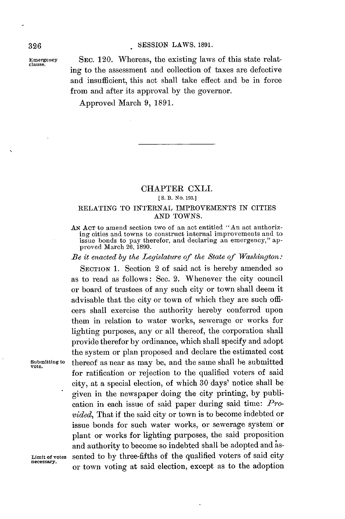#### **326 SESSION** LAWS, **1891.**

**Emergency SEC.** 120. Whereas, the existing laws of this state relating to the assessment and collection of taxes are defective and insufficient, this act shall take effect and be in force from and after its approval **by** the governor.

Approved March **9, 1891.**

## CHAPTER CXLI. **[ S. B.** *No.* **193.]**

### RELATING TO **INTERNAL** IMPROVEMENTS IN CITIES **AND TOWNS.**

**AN ACT** to amend section two of an act entitled "An act authorizing cities and towns to construct internal improvements and to issue bonds to pay therefor, and declaring an emergency," approved March **26, 1890.**

*Be it enacted by the Legislature of the State of Washington:*

**SECTION 1.** Section 2 of said act is hereby amended so as to read as follows: Sec. 2. Whenever the city council or board of trustees of any such city or town shall deem it advisable that the city or town of which they are such officers shall exercise the authority hereby conferred upon them in relation to water works, sewerage or works for lighting purposes, any or **all** thereof, the corporation shall provide therefor **by** ordinance, which shall specify and adopt the system or plan proposed and declare the estimated cost **Submitting** to thereof as near as may be, and the same shall be submitted for ratification or rejection to the qualified voters of said city, at a special election, of which **30** days' notice shall be given in the newspaper doing the city printing, **by** publication in each issue of said paper during said time: *Provided,* That if the said city or town is to become indebted or issue bonds for such water works, or sewerage system or plant or works for lighting purposes, the said proposition and authority to become so indebted shall be adopted and as-Limit of votes sented to by three-fifths of the qualified voters of said city necessary. or town voting at said election, except as to the adoption

**vote.**

**clause.**